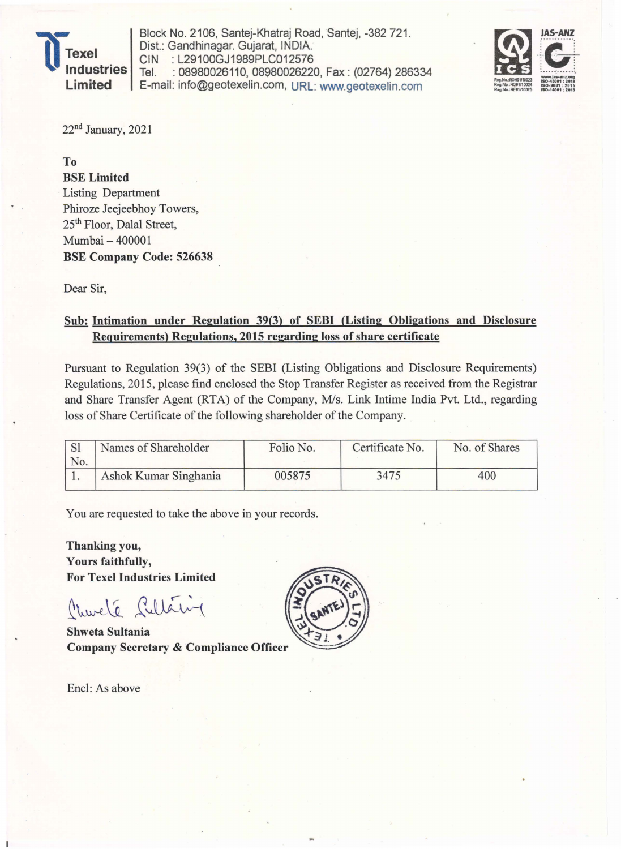

Block No. 2106, Santej-Khatraj Road, Santej, -382 721. Dist.: Gandhinagar. Gujarat, INDIA. CIN : L29100GJ1989PLC012576<br>Tel. : 08980026110. 08980026220 : 08980026110, 08980026220, Fax: (02764) 286334 E-mail: info@geotexelin.com, URL: www.geotexelin.com



22<sup>nd</sup> January, 2021

To

BSE Limited . Listing Department Phiroze Jeejeebhoy Towers, 25th Floor, Dalal Street, Mumbai - 400001 BSE Company Code: 526638

Dear Sir,

## Sub: Intimation under Regulation 39(3) of SEBI (Listing Obligations and Disclosure Requirements) Regulations, 2015 regarding loss of share certificate

Pursuant to Regulation 39(3) of the SEBI (Listing Obligations and Disclosure Requirements) Regulations, 2015, please find enclosed the Stop Transfer Register as received from the Registrar and Share Transfer Agent (RTA) of the Company, *Mis.* Link Intime India Pvt. Ltd., regarding loss of Share Certificate of the following shareholder of the Company.

| No. | Names of Shareholder  | Folio No. | Certificate No. | No. of Shares |
|-----|-----------------------|-----------|-----------------|---------------|
|     | Ashok Kumar Singhania | 005875    | 3475            | 400           |

You are requested to take the above in your records.

Thanking you, Yours faithfully, For Texel Industries Limited

Churché Sultaing

**Shweta Sultania Company Secretary & Compliance Officer** 

Enc1: As above